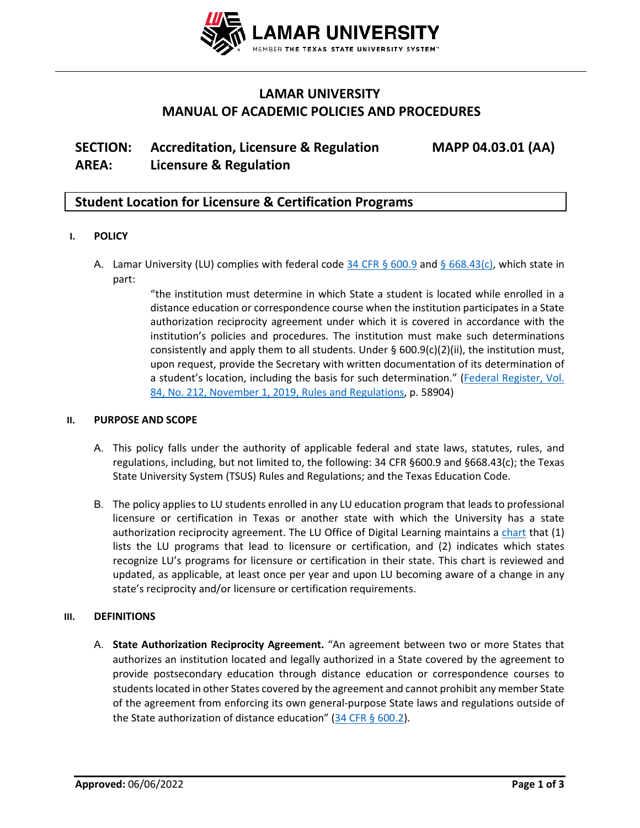

## **LAMAR UNIVERSITY MANUAL OF ACADEMIC POLICIES AND PROCEDURES**

# **SECTION: Accreditation, Licensure & Regulation MAPP 04.03.01 (AA) AREA: Licensure & Regulation**

## **Student Location for Licensure & Certification Programs**

## **I. POLICY**

A. Lamar University (LU) complies with federal code [34 CFR § 600.9](https://www.ecfr.gov/current/title-34/subtitle-B/chapter-VI/part-600/subpart-A/section-600.9#p-600.9(a)) and [§ 668.43\(c\),](https://www.ecfr.gov/current/title-34/subtitle-B/chapter-VI/part-668/subpart-D/section-668.43#p-668.43(c)) which state in part:

> "the institution must determine in which State a student is located while enrolled in a distance education or correspondence course when the institution participates in a State authorization reciprocity agreement under which it is covered in accordance with the institution's policies and procedures. The institution must make such determinations consistently and apply them to all students. Under  $\S$  600.9(c)(2)(ii), the institution must, upon request, provide the Secretary with written documentation of its determination of a student's location, including the basis for such determination." (Federal [Register, Vol.](https://www.govinfo.gov/content/pkg/FR-2019-11-01/pdf/2019-23129.pdf)  [84, No. 212, November 1, 2019, Rules and Regulations,](https://www.govinfo.gov/content/pkg/FR-2019-11-01/pdf/2019-23129.pdf) p. 58904)

## **II. PURPOSE AND SCOPE**

- A. This policy falls under the authority of applicable federal and state laws, statutes, rules, and regulations, including, but not limited to, the following: 34 CFR §600.9 and §668.43(c); the Texas State University System (TSUS) Rules and Regulations; and the Texas Education Code.
- B. The policy applies to LU students enrolled in any LU education program that leads to professional licensure or certification in Texas or another state with which the University has a state authorization reciprocity agreement. The LU Office of Digital Learning maintains a [chart](https://www.lamar.edu/lu-online/student-support-services-quick-links/states-approval.html) that (1) lists the LU programs that lead to licensure or certification, and (2) indicates which states recognize LU's programs for licensure or certification in their state. This chart is reviewed and updated, as applicable, at least once per year and upon LU becoming aware of a change in any state's reciprocity and/or licensure or certification requirements.

## **III. DEFINITIONS**

A. **State Authorization Reciprocity Agreement.** "An agreement between two or more States that authorizes an institution located and legally authorized in a State covered by the agreement to provide postsecondary education through distance education or correspondence courses to studentslocated in other States covered by the agreement and cannot prohibit any member State of the agreement from enforcing its own general-purpose State laws and regulations outside of the State authorization of distance education" (34 CFR [§ 600.2\)](https://www.ecfr.gov/current/title-34/subtitle-B/chapter-VI/part-600#p-600.2(State%20authorization%20reciprocity%20agreement:)).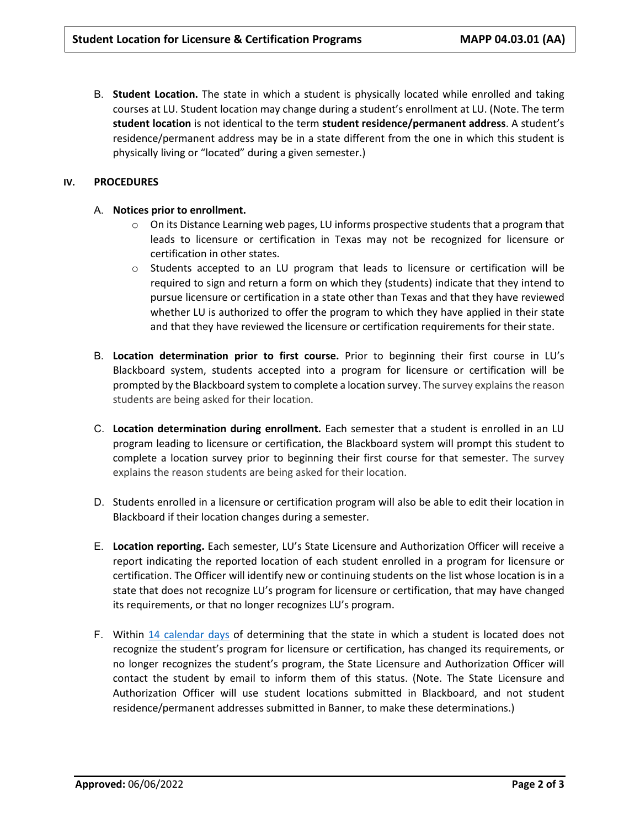B. **Student Location.** The state in which a student is physically located while enrolled and taking courses at LU. Student location may change during a student's enrollment at LU. (Note. The term **student location** is not identical to the term **student residence/permanent address**. A student's residence/permanent address may be in a state different from the one in which this student is physically living or "located" during a given semester.)

## **IV. PROCEDURES**

## A. **Notices prior to enrollment.**

- $\circ$  On its Distance Learning web pages, LU informs prospective students that a program that leads to licensure or certification in Texas may not be recognized for licensure or certification in other states.
- o Students accepted to an LU program that leads to licensure or certification will be required to sign and return a form on which they (students) indicate that they intend to pursue licensure or certification in a state other than Texas and that they have reviewed whether LU is authorized to offer the program to which they have applied in their state and that they have reviewed the licensure or certification requirements for their state.
- B. **Location determination prior to first course.** Prior to beginning their first course in LU's Blackboard system, students accepted into a program for licensure or certification will be prompted by the Blackboard system to complete a location survey. The survey explains the reason students are being asked for their location.
- C. **Location determination during enrollment.** Each semester that a student is enrolled in an LU program leading to licensure or certification, the Blackboard system will prompt this student to complete a location survey prior to beginning their first course for that semester. The survey explains the reason students are being asked for their location.
- D. Students enrolled in a licensure or certification program will also be able to edit their location in Blackboard if their location changes during a semester.
- E. **Location reporting.** Each semester, LU's State Licensure and Authorization Officer will receive a report indicating the reported location of each student enrolled in a program for licensure or certification. The Officer will identify new or continuing students on the list whose location is in a state that does not recognize LU's program for licensure or certification, that may have changed its requirements, or that no longer recognizes LU's program.
- F. Within [14 calendar days](https://www.ecfr.gov/current/title-34/subtitle-B/chapter-VI/part-668/subpart-D/section-668.43#p-668.43(c)(2)) of determining that the state in which a student is located does not recognize the student's program for licensure or certification, has changed its requirements, or no longer recognizes the student's program, the State Licensure and Authorization Officer will contact the student by email to inform them of this status. (Note. The State Licensure and Authorization Officer will use student locations submitted in Blackboard, and not student residence/permanent addresses submitted in Banner, to make these determinations.)